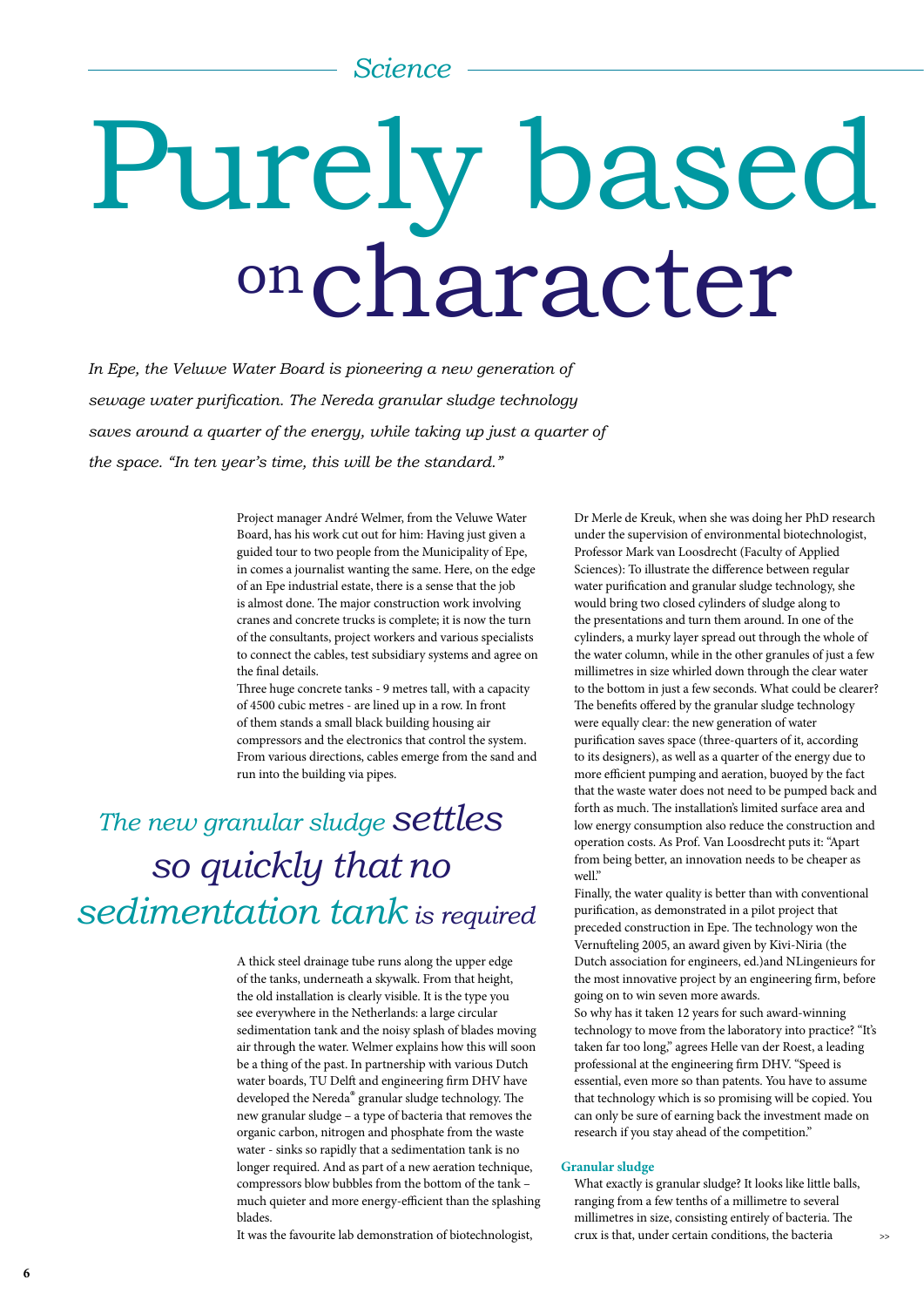### *Science*

# character Purely based on

In Epe, the Veluwe Water Board is pioneering a new generation of *sewage water purification. The Nereda granular sludge technology saves around a quarter of the energy, while taking up just a quarter of the space. "In ten year's time, this will be the standard."*

> Project manager André Welmer, from the Veluwe Water Board, has his work cut out for him: Having just given a guided tour to two people from the Municipality of Epe, in comes a journalist wanting the same. Here, on the edge of an Epe industrial estate, there is a sense that the job is almost done. The major construction work involving cranes and concrete trucks is complete; it is now the turn of the consultants, project workers and various specialists to connect the cables, test subsidiary systems and agree on the final details.

> Three huge concrete tanks - 9 metres tall, with a capacity of 4500 cubic metres - are lined up in a row. In front of them stands a small black building housing air compressors and the electronics that control the system. From various directions, cables emerge from the sand and run into the building via pipes.

# *The new granular sludge settles so quickly that no sedimentation tank is required*

A thick steel drainage tube runs along the upper edge of the tanks, underneath a skywalk. From that height, the old installation is clearly visible. It is the type you see everywhere in the Netherlands: a large circular sedimentation tank and the noisy splash of blades moving air through the water. Welmer explains how this will soon be a thing of the past. In partnership with various Dutch water boards, TU Delft and engineering firm DHV have developed the Nereda® granular sludge technology. The new granular sludge – a type of bacteria that removes the organic carbon, nitrogen and phosphate from the waste water - sinks so rapidly that a sedimentation tank is no longer required. And as part of a new aeration technique, compressors blow bubbles from the bottom of the tank – much quieter and more energy-efficient than the splashing blades.

It was the favourite lab demonstration of biotechnologist,

Dr Merle de Kreuk, when she was doing her PhD research under the supervision of environmental biotechnologist, Professor Mark van Loosdrecht (Faculty of Applied Sciences): To illustrate the difference between regular water purification and granular sludge technology, she would bring two closed cylinders of sludge along to the presentations and turn them around. In one of the cylinders, a murky layer spread out through the whole of the water column, while in the other granules of just a few millimetres in size whirled down through the clear water to the bottom in just a few seconds. What could be clearer? The benefits offered by the granular sludge technology were equally clear: the new generation of water purification saves space (three-quarters of it, according to its designers), as well as a quarter of the energy due to more efficient pumping and aeration, buoyed by the fact that the waste water does not need to be pumped back and forth as much. The installation's limited surface area and low energy consumption also reduce the construction and operation costs. As Prof. Van Loosdrecht puts it: "Apart from being better, an innovation needs to be cheaper as well."

Finally, the water quality is better than with conventional purification, as demonstrated in a pilot project that preceded construction in Epe. The technology won the Vernufteling 2005, an award given by Kivi-Niria (the Dutch association for engineers, ed.)and NLingenieurs for the most innovative project by an engineering firm, before going on to win seven more awards.

So why has it taken 12 years for such award-winning technology to move from the laboratory into practice? "It's taken far too long," agrees Helle van der Roest, a leading professional at the engineering firm DHV. "Speed is essential, even more so than patents. You have to assume that technology which is so promising will be copied. You can only be sure of earning back the investment made on research if you stay ahead of the competition."

#### **Granular sludge**

What exactly is granular sludge? It looks like little balls, ranging from a few tenths of a millimetre to several millimetres in size, consisting entirely of bacteria. The crux is that, under certain conditions, the bacteria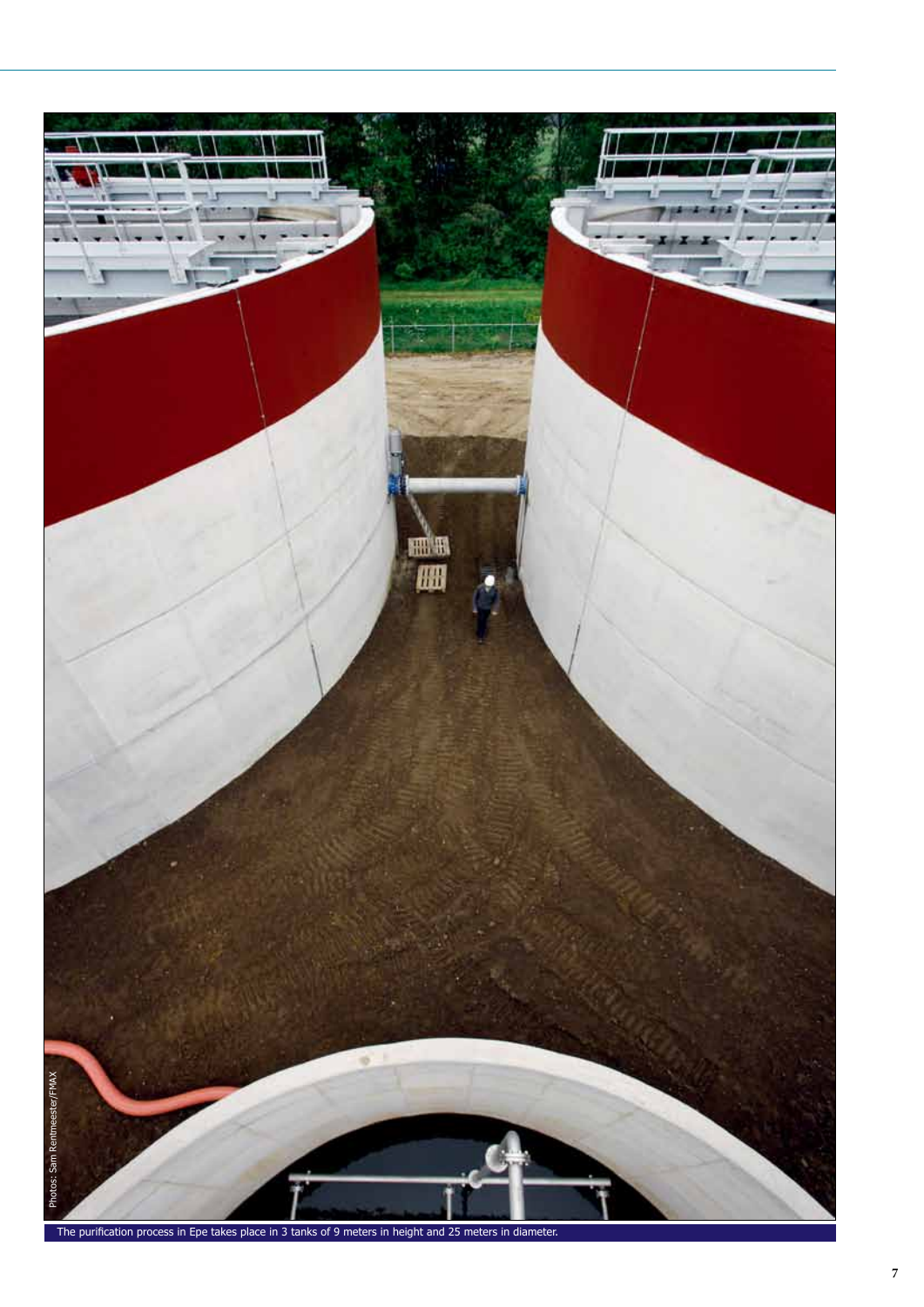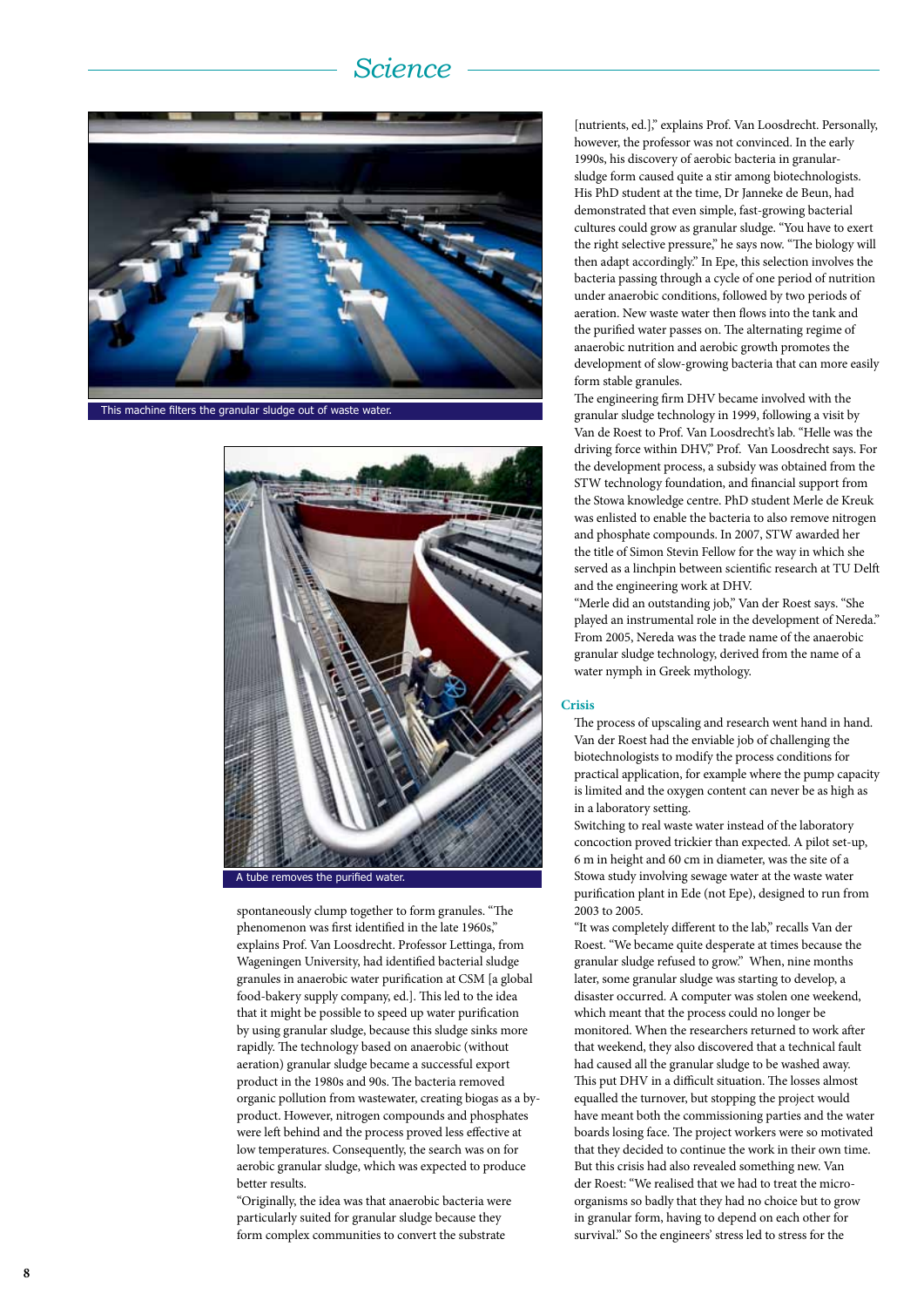# *Science*



This machine filters the granular sludge out of waste water.



spontaneously clump together to form granules. "The phenomenon was first identified in the late 1960s," explains Prof. Van Loosdrecht. Professor Lettinga, from Wageningen University, had identified bacterial sludge granules in anaerobic water purification at CSM [a global food-bakery supply company, ed.]. This led to the idea that it might be possible to speed up water purification by using granular sludge, because this sludge sinks more rapidly. The technology based on anaerobic (without aeration) granular sludge became a successful export product in the 1980s and 90s. The bacteria removed organic pollution from wastewater, creating biogas as a byproduct. However, nitrogen compounds and phosphates were left behind and the process proved less effective at low temperatures. Consequently, the search was on for aerobic granular sludge, which was expected to produce better results.

"Originally, the idea was that anaerobic bacteria were particularly suited for granular sludge because they form complex communities to convert the substrate

[nutrients, ed.]," explains Prof. Van Loosdrecht. Personally, however, the professor was not convinced. In the early 1990s, his discovery of aerobic bacteria in granularsludge form caused quite a stir among biotechnologists. His PhD student at the time, Dr Janneke de Beun, had demonstrated that even simple, fast-growing bacterial cultures could grow as granular sludge. "You have to exert the right selective pressure," he says now. "The biology will then adapt accordingly." In Epe, this selection involves the bacteria passing through a cycle of one period of nutrition under anaerobic conditions, followed by two periods of aeration. New waste water then flows into the tank and the purified water passes on. The alternating regime of anaerobic nutrition and aerobic growth promotes the development of slow-growing bacteria that can more easily form stable granules.

The engineering firm DHV became involved with the granular sludge technology in 1999, following a visit by Van de Roest to Prof. Van Loosdrecht's lab. "Helle was the driving force within DHV," Prof. Van Loosdrecht says. For the development process, a subsidy was obtained from the STW technology foundation, and financial support from the Stowa knowledge centre. PhD student Merle de Kreuk was enlisted to enable the bacteria to also remove nitrogen and phosphate compounds. In 2007, STW awarded her the title of Simon Stevin Fellow for the way in which she served as a linchpin between scientific research at TU Delft and the engineering work at DHV.

"Merle did an outstanding job," Van der Roest says. "She played an instrumental role in the development of Nereda." From 2005, Nereda was the trade name of the anaerobic granular sludge technology, derived from the name of a water nymph in Greek mythology.

#### **Crisis**

The process of upscaling and research went hand in hand. Van der Roest had the enviable job of challenging the biotechnologists to modify the process conditions for practical application, for example where the pump capacity is limited and the oxygen content can never be as high as in a laboratory setting.

Switching to real waste water instead of the laboratory concoction proved trickier than expected. A pilot set-up, 6 m in height and 60 cm in diameter, was the site of a Stowa study involving sewage water at the waste water purification plant in Ede (not Epe), designed to run from 2003 to 2005.

"It was completely different to the lab," recalls Van der Roest. "We became quite desperate at times because the granular sludge refused to grow." When, nine months later, some granular sludge was starting to develop, a disaster occurred. A computer was stolen one weekend, which meant that the process could no longer be monitored. When the researchers returned to work after that weekend, they also discovered that a technical fault had caused all the granular sludge to be washed away. This put DHV in a difficult situation. The losses almost equalled the turnover, but stopping the project would have meant both the commissioning parties and the water boards losing face. The project workers were so motivated that they decided to continue the work in their own time. But this crisis had also revealed something new. Van der Roest: "We realised that we had to treat the microorganisms so badly that they had no choice but to grow in granular form, having to depend on each other for survival." So the engineers' stress led to stress for the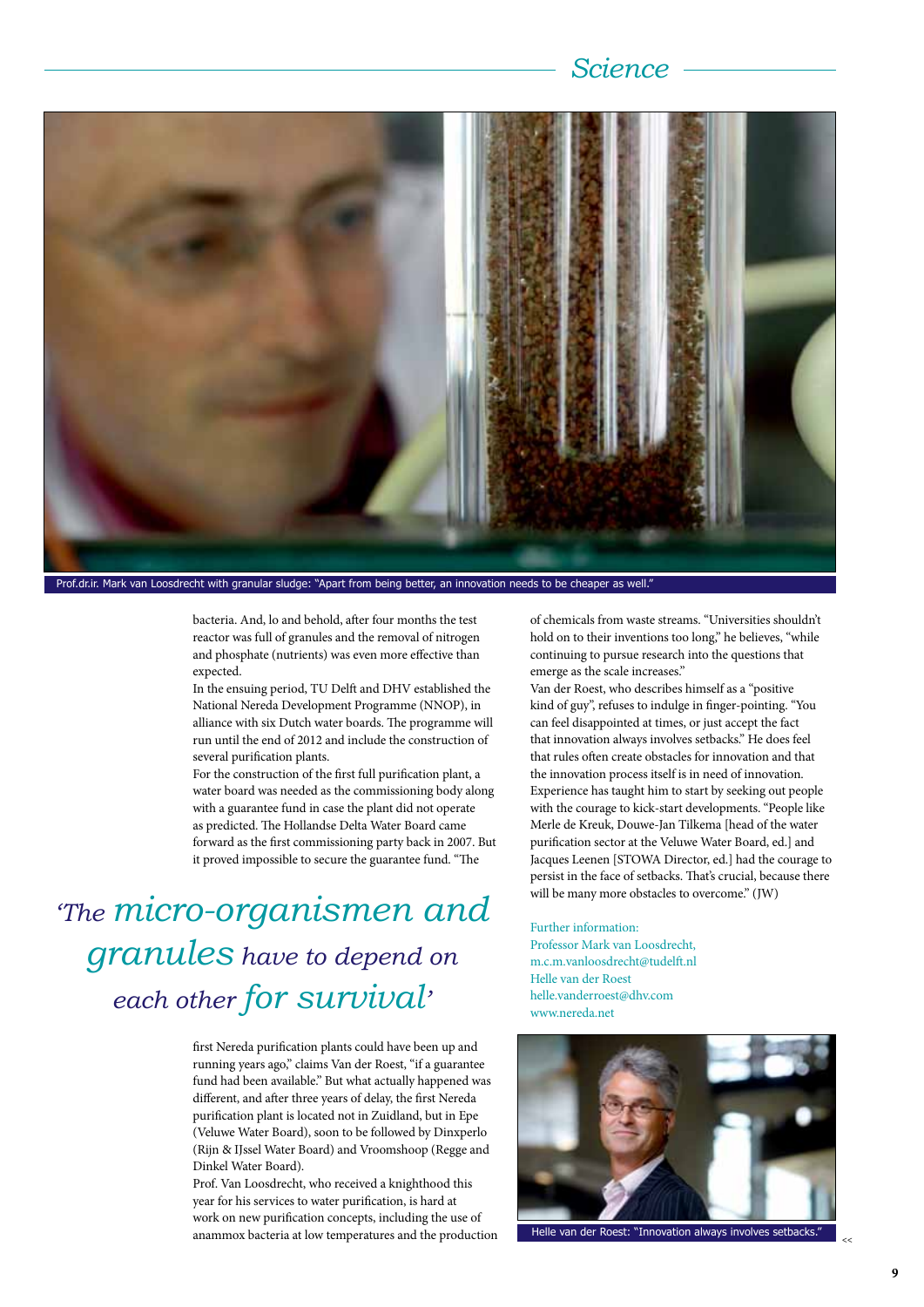## *Science*



Prof.dr.ir. Mark van Loosdrecht with granular sludge: "Apart from being better, an innovation needs to be cheaper as well.

bacteria. And, lo and behold, after four months the test reactor was full of granules and the removal of nitrogen and phosphate (nutrients) was even more effective than expected.

In the ensuing period, TU Delft and DHV established the National Nereda Development Programme (NNOP), in alliance with six Dutch water boards. The programme will run until the end of 2012 and include the construction of several purification plants.

For the construction of the first full purification plant, a water board was needed as the commissioning body along with a guarantee fund in case the plant did not operate as predicted. The Hollandse Delta Water Board came forward as the first commissioning party back in 2007. But it proved impossible to secure the guarantee fund. "The

*'The micro-organismen and granules have to depend on each other for survival'*

> first Nereda purification plants could have been up and running years ago," claims Van der Roest, "if a guarantee fund had been available." But what actually happened was different, and after three years of delay, the first Nereda purification plant is located not in Zuidland, but in Epe (Veluwe Water Board), soon to be followed by Dinxperlo (Rijn & IJssel Water Board) and Vroomshoop (Regge and Dinkel Water Board).

Prof. Van Loosdrecht, who received a knighthood this year for his services to water purification, is hard at work on new purification concepts, including the use of anammox bacteria at low temperatures and the production of chemicals from waste streams. "Universities shouldn't hold on to their inventions too long," he believes, "while continuing to pursue research into the questions that emerge as the scale increases."

Van der Roest, who describes himself as a "positive kind of guy", refuses to indulge in finger-pointing. "You can feel disappointed at times, or just accept the fact that innovation always involves setbacks." He does feel that rules often create obstacles for innovation and that the innovation process itself is in need of innovation. Experience has taught him to start by seeking out people with the courage to kick-start developments. "People like Merle de Kreuk, Douwe-Jan Tilkema [head of the water purification sector at the Veluwe Water Board, ed.] and Jacques Leenen [STOWA Director, ed.] had the courage to persist in the face of setbacks. That's crucial, because there will be many more obstacles to overcome." (JW)

Further information: Professor Mark van Loosdrecht, m.c.m.vanloosdrecht@tudelft.nl Helle van der Roest helle.vanderroest@dhv.com www.nereda.net



Helle van der Roest: "Innovation always involves setbacks."

**>>**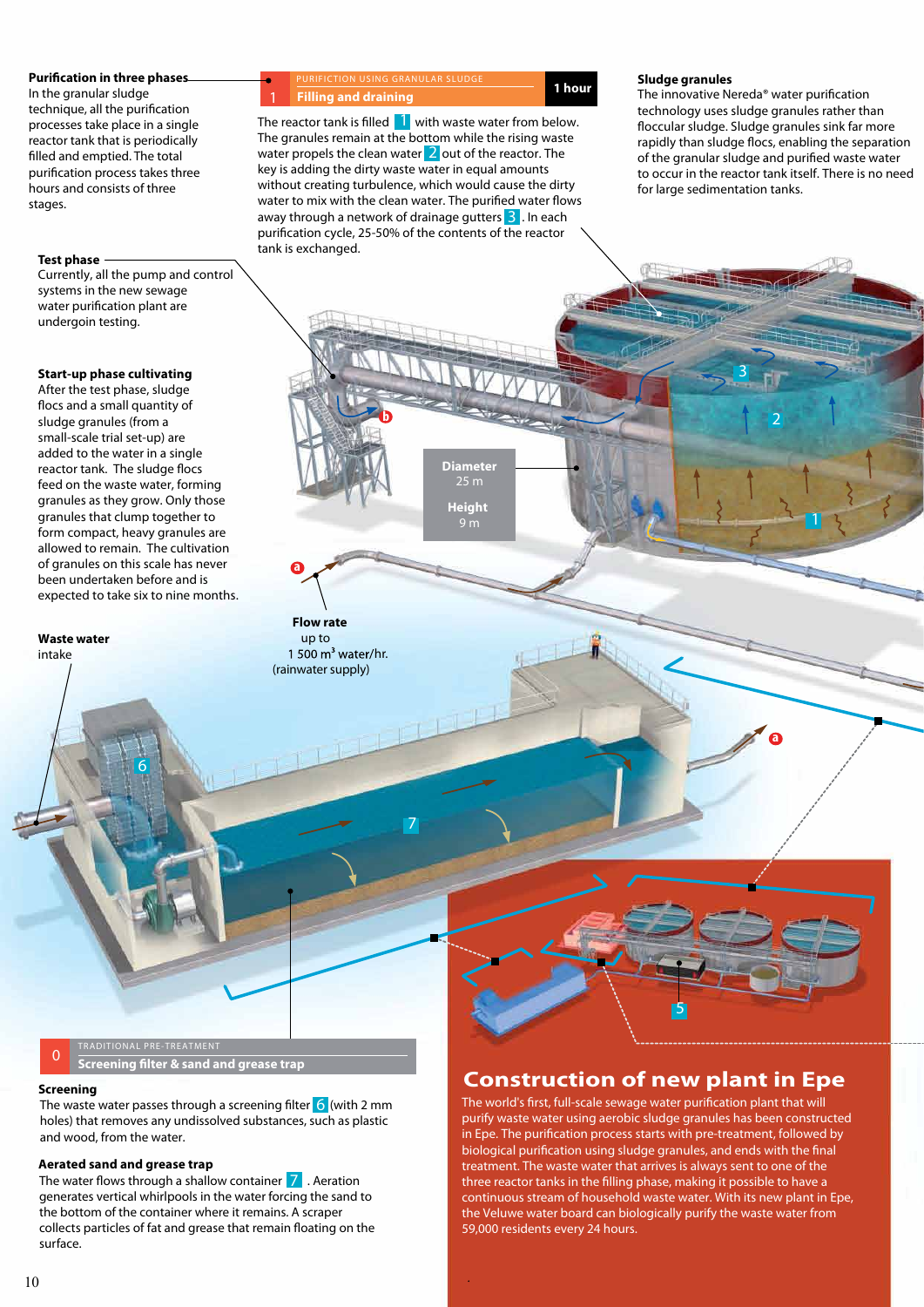#### **Purification in three phases.**

In the granular sludge technique, all the purification processes take place in a single reactor tank that is periodically filled and emptied. The total puri
cation process takes three hours and consists of three stages.

#### **Test phase**

Currently, all the pump and control systems in the new sewage water puri
cation plant are undergoin testing.

#### **Start-up phase cultivating**

After the test phase, sludge flocs and a small quantity of sludge granules (from a small-scale trial set-up) are added to the water in a single reactor tank. The sludge flocs feed on the waste water, forming granules as they grow. Only those granules that clump together to form compact, heavy granules are allowed to remain. The cultivation of granules on this scale has never been undertaken before and is expected to take six to nine months.

**6**

**Waste water** intake

PURIFICTION USING GRANULAR SLUDGE **1 hour Filling and draining**

away through a network of drainage gutters <mark>3</mark> . In each water propels the clean water 2 out of the reactor. The The reactor tank is filled **1** with waste water from below. The granules remain at the bottom while the rising waste key is adding the dirty waste water in equal amounts without creating turbulence, which would cause the dirty water to mix with the clean water. The purified water flows puri
cation cycle, 25-50% of the contents of the reactor tank is exchanged.

**b**

**a**

**Flow rate** up to

**Sludge granules**

**Filling and draining**<br>
The innovative Nereda® water purification<br>
tochoology was cludge aroules prince that then technology uses sludge granules rather than floccular sludge. Sludge granules sink far more rapidly than sludge flocs, enabling the separation of the granular sludge and puri
ed waste water to occur in the reactor tank itself. There is no need for large sedimentation tanks.

**2**

**a**

**3**

# 9 m 1 500  $m^3$  water/hr. (rainwater supply)

**7**

**Diameter**

**Height**

**<sup>0</sup> Screening lter & sand and grease trap**

#### **Screening**

The waste water passes through a screening filter <mark>6</mark> (with 2 mm holes) that removes any undissolved substances, such as plastic and wood, from the water.

#### **Aerated sand and grease trap**

The water flows through a shallow container **7** Aeration generates vertical whirlpools in the water forcing the sand to the bottom of the container where it remains. A scraper collects particles of fat and grease that remain floating on the surface.

## **Construction of new plant in Epe**

**5**

The world's first, full-scale sewage water purification plant that will purify waste water using aerobic sludge granules has been constructed in Epe. The purification process starts with pre-treatment, followed by biological purification using sludge granules, and ends with the final treatment. The waste water that arrives is always sent to one of the three reactor tanks in the filling phase, making it possible to have a continuous stream of household waste water. With its new plant in Epe, the Veluwe water board can biologically purify the waste water from 59,000 residents every 24 hours.